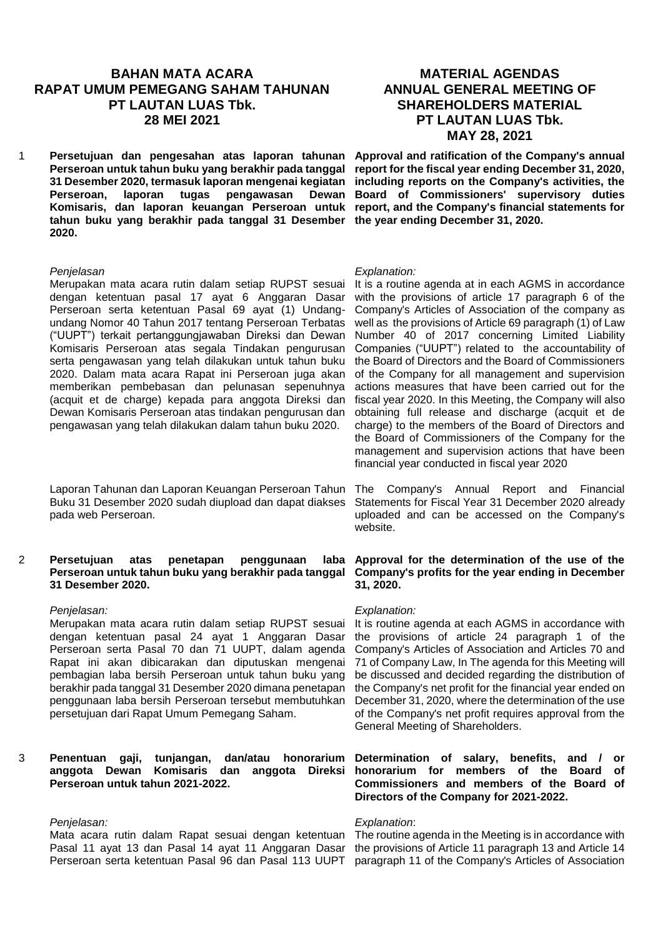# **BAHAN MATA ACARA RAPAT UMUM PEMEGANG SAHAM TAHUNAN PT LAUTAN LUAS Tbk. 28 MEI 2021**

1 **Persetujuan dan pengesahan atas laporan tahunan Perseroan untuk tahun buku yang berakhir pada tanggal 31 Desember 2020, termasuk laporan mengenai kegiatan Perseroan, laporan tugas pengawasan Dewan Komisaris, dan laporan keuangan Perseroan untuk tahun buku yang berakhir pada tanggal 31 Desember 2020.**

### *Penjelasan*

Merupakan mata acara rutin dalam setiap RUPST sesuai dengan ketentuan pasal 17 ayat 6 Anggaran Dasar Perseroan serta ketentuan Pasal 69 ayat (1) Undangundang Nomor 40 Tahun 2017 tentang Perseroan Terbatas ("UUPT") terkait pertanggungjawaban Direksi dan Dewan Komisaris Perseroan atas segala Tindakan pengurusan serta pengawasan yang telah dilakukan untuk tahun buku 2020. Dalam mata acara Rapat ini Perseroan juga akan memberikan pembebasan dan pelunasan sepenuhnya (acquit et de charge) kepada para anggota Direksi dan Dewan Komisaris Perseroan atas tindakan pengurusan dan pengawasan yang telah dilakukan dalam tahun buku 2020.

Laporan Tahunan dan Laporan Keuangan Perseroan Tahun Buku 31 Desember 2020 sudah diupload dan dapat diakses pada web Perseroan.

## 2 **Persetujuan atas penetapan penggunaan laba Perseroan untuk tahun buku yang berakhir pada tanggal 31 Desember 2020.**

### *Penjelasan:*

Merupakan mata acara rutin dalam setiap RUPST sesuai dengan ketentuan pasal 24 ayat 1 Anggaran Dasar Perseroan serta Pasal 70 dan 71 UUPT, dalam agenda Rapat ini akan dibicarakan dan diputuskan mengenai pembagian laba bersih Perseroan untuk tahun buku yang berakhir pada tanggal 31 Desember 2020 dimana penetapan penggunaan laba bersih Perseroan tersebut membutuhkan persetujuan dari Rapat Umum Pemegang Saham.

# 3 **Penentuan gaji, tunjangan, dan/atau honorarium anggota Dewan Komisaris dan anggota Direksi Perseroan untuk tahun 2021-2022.**

# *Penjelasan:*

Mata acara rutin dalam Rapat sesuai dengan ketentuan Pasal 11 ayat 13 dan Pasal 14 ayat 11 Anggaran Dasar Perseroan serta ketentuan Pasal 96 dan Pasal 113 UUPT

# **MATERIAL AGENDAS ANNUAL GENERAL MEETING OF SHAREHOLDERS MATERIAL PT LAUTAN LUAS Tbk. MAY 28, 2021**

**Approval and ratification of the Company's annual report for the fiscal year ending December 31, 2020, including reports on the Company's activities, the Board of Commissioners' supervisory duties report, and the Company's financial statements for the year ending December 31, 2020.**

#### *Explanation:*

It is a routine agenda at in each AGMS in accordance with the provisions of article 17 paragraph 6 of the Company's Articles of Association of the company as well as the provisions of Article 69 paragraph (1) of Law Number 40 of 2017 concerning Limited Liability Companies ("UUPT") related to the accountability of the Board of Directors and the Board of Commissioners of the Company for all management and supervision actions measures that have been carried out for the fiscal year 2020. In this Meeting, the Company will also obtaining full release and discharge (acquit et de charge) to the members of the Board of Directors and the Board of Commissioners of the Company for the management and supervision actions that have been financial year conducted in fiscal year 2020

The Company's Annual Report and Financial Statements for Fiscal Year 31 December 2020 already uploaded and can be accessed on the Company's website.

## **Approval for the determination of the use of the Company's profits for the year ending in December 31, 2020.**

### *Explanation:*

It is routine agenda at each AGMS in accordance with the provisions of article 24 paragraph 1 of the Company's Articles of Association and Articles 70 and 71 of Company Law, In The agenda for this Meeting will be discussed and decided regarding the distribution of the Company's net profit for the financial year ended on December 31, 2020, where the determination of the use of the Company's net profit requires approval from the General Meeting of Shareholders.

**Determination of salary, benefits, and / or honorarium for members of the Board of Commissioners and members of the Board of Directors of the Company for 2021-2022.**

### *Explanation*:

The routine agenda in the Meeting is in accordance with the provisions of Article 11 paragraph 13 and Article 14 paragraph 11 of the Company's Articles of Association